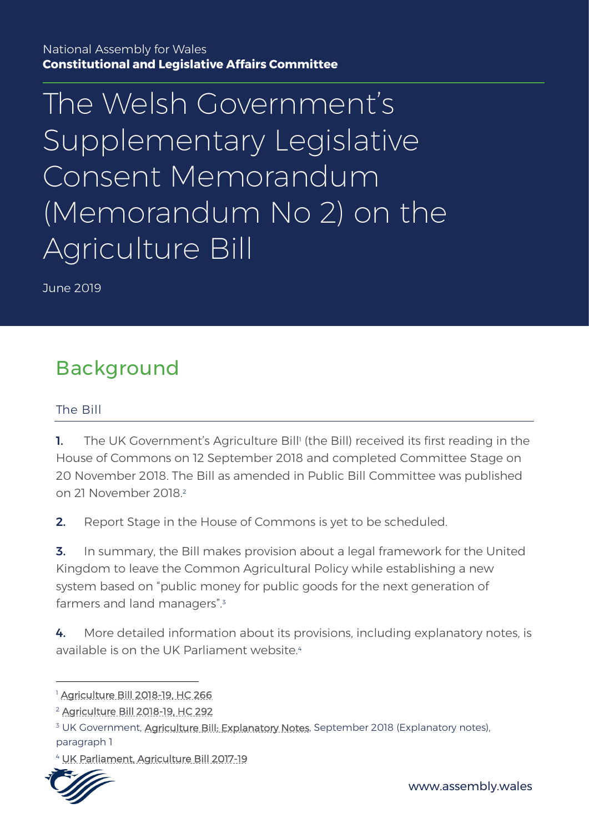National Assembly for Wales **Constitutional and Legislative Affairs Committee**

The Welsh Government' s Supplementary Legislative Consent Memorandum (Memorandum No 2) on the Agriculture Bill

June 2019

# Background

#### The Bill

**1.** The UK Government's Agriculture Bill<sup>†</sup> (the Bill) received its first reading in the House of Commons on 12 September 2018 and completed Committee Stage on 20 November 2018. The Bill as amended in Public Bill Committee was published on 21 November 2018<sup>2</sup>

**2.** Report Stage in the House of Commons is yet to be scheduled.

**3.** In summary, the Bill makes provision about a legal framework for the United Kingdom to leave the Common Agricultural Policy while establishing a new system based on "public money for public goods for the next generation of farmers and land managers". 3

4. More detailed information about its provisions, including explanatory notes, is available is on the UK Parliament website.<sup>4</sup>

<sup>4</sup> [UK Parliament, Agriculture Bill 2017-19](https://services.parliament.uk/Bills/2017-19/agriculture.html)



1

<sup>1</sup> [Agriculture Bill 2018-19, HC 266](http://www.publications.parliament.uk/pa/bills/cbill/2017-2019/0266/18266.pdf)

<sup>2</sup> [Agriculture Bill 2018-19, HC 292](https://publications.parliament.uk/pa/bills/cbill/2017-2019/0292/18292.pdf)

<sup>&</sup>lt;sup>3</sup> UK Government, [Agriculture Bill: Explanatory Notes,](http://www.publications.parliament.uk/pa/bills/cbill/2017-2019/0266/en/18266en.pdf) September 2018 (Explanatory notes), paragraph 1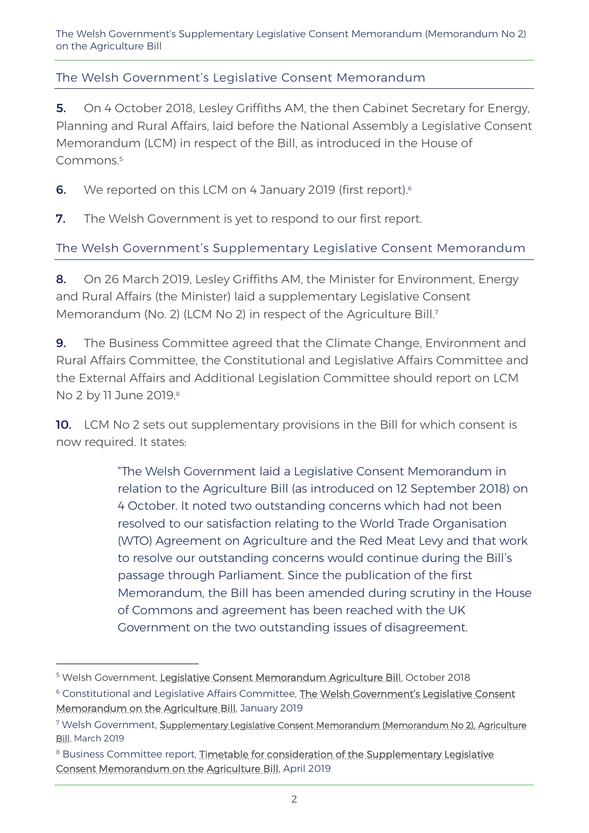#### The Welsh Government's Legislative Consent Memorandum

5. On 4 October 2018, Lesley Griffiths AM, the then Cabinet Secretary for Energy, Planning and Rural Affairs, laid before the National Assembly a Legislative Consent Memorandum (LCM) in respect of the Bill, as introduced in the House of Commons. 5

**6.** We reported on this LCM on 4 January 2019 (first report).<sup>6</sup>

**7.** The Welsh Government is yet to respond to our first report.

The Welsh Government's Supplementary Legislative Consent Memorandum

8. On 26 March 2019, Lesley Griffiths AM, the Minister for Environment. Energy and Rural Affairs (the Minister) laid a supplementary Legislative Consent Memorandum (No. 2) (LCM No 2) in respect of the Agriculture Bill.<sup>7</sup>

9. The Business Committee agreed that the Climate Change, Environment and Rural Affairs Committee, the Constitutional and Legislative Affairs Committee and the External Affairs and Additional Legislation Committee should report on LCM No 2 by 11 June 2019.<sup>8</sup>

**10.** LCM No 2 sets out supplementary provisions in the Bill for which consent is now required. It states:

> "The Welsh Government laid a Legislative Consent Memorandum in relation to the Agriculture Bill (as introduced on 12 September 2018) on 4 October. It noted two outstanding concerns which had not been resolved to our satisfaction relating to the World Trade Organisation (WTO) Agreement on Agriculture and the Red Meat Levy and that work to resolve our outstanding concerns would continue during the Bill's passage through Parliament. Since the publication of the first Memorandum, the Bill has been amended during scrutiny in the House of Commons and agreement has been reached with the UK Government on the two outstanding issues of disagreement.

<sup>&</sup>lt;sup>5</sup> Welsh Government, [Legislative Consent Memorandum Agriculture Bill,](https://www.assembly.wales/laid%20documents/lcm-ld11765/lcm-ld11765-e.pdf) October 2018

<sup>&</sup>lt;sup>6</sup> Constitutional and Legislative Affairs Committee, The Welsh Government's Legislative Consent [Memorandum on the Agriculture Bill,](http://www.assembly.wales/laid%20documents/cr-ld12021/cr-ld12021-e.pdf) January 2019

<sup>&</sup>lt;sup>7</sup> Welsh Government, Supplementary Legislative Consent Memorandum (Memorandum No 2), Agriculture [Bill,](https://www.assembly.wales/laid%20documents/lcm-ld12461/lcm-ld12461-e.pdf) March 2019

<sup>&</sup>lt;sup>8</sup> Business Committee report, Timetable for consideration of the Supplementary Legislative [Consent Memorandum on the Agriculture Bill,](http://www.assembly.wales/laid%20documents/cr-ld12486/cr-ld12486-e.pdf) April 2019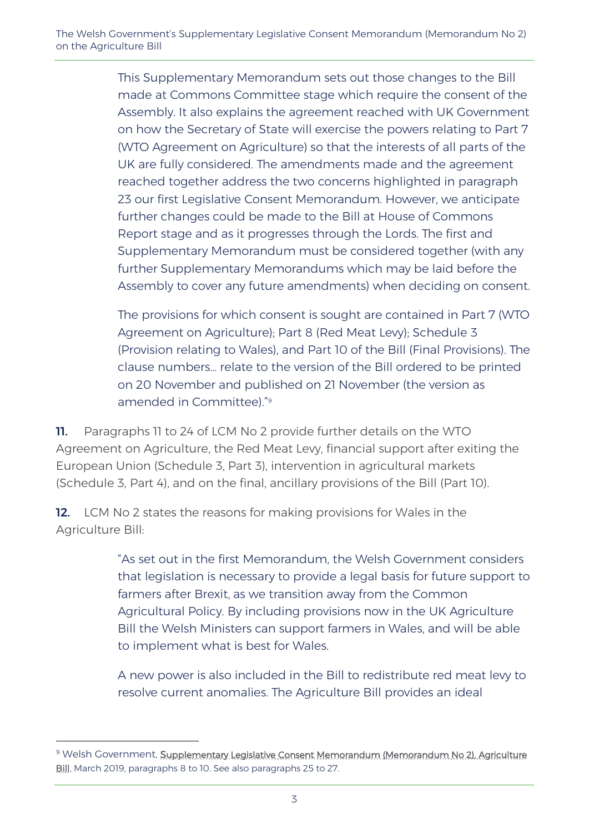This Supplementary Memorandum sets out those changes to the Bill made at Commons Committee stage which require the consent of the Assembly. It also explains the agreement reached with UK Government on how the Secretary of State will exercise the powers relating to Part 7 (WTO Agreement on Agriculture) so that the interests of all parts of the UK are fully considered. The amendments made and the agreement reached together address the two concerns highlighted in paragraph 23 our first Legislative Consent Memorandum. However, we anticipate further changes could be made to the Bill at House of Commons Report stage and as it progresses through the Lords. The first and Supplementary Memorandum must be considered together (with any further Supplementary Memorandums which may be laid before the Assembly to cover any future amendments) when deciding on consent.

The provisions for which consent is sought are contained in Part 7 (WTO Agreement on Agriculture); Part 8 (Red Meat Levy); Schedule 3 (Provision relating to Wales), and Part 10 of the Bill (Final Provisions). The clause numbers… relate to the version of the Bill ordered to be printed on 20 November and published on 21 November (the version as amended in Committee)." 9

11. Paragraphs 11 to 24 of LCM No 2 provide further details on the WTO Agreement on Agriculture, the Red Meat Levy, financial support after exiting the European Union (Schedule 3, Part 3), intervention in agricultural markets (Schedule 3, Part 4), and on the final, ancillary provisions of the Bill (Part 10).

**12.** LCM No 2 states the reasons for making provisions for Wales in the Agriculture Bill:

> "As set out in the first Memorandum, the Welsh Government considers that legislation is necessary to provide a legal basis for future support to farmers after Brexit, as we transition away from the Common Agricultural Policy. By including provisions now in the UK Agriculture Bill the Welsh Ministers can support farmers in Wales, and will be able to implement what is best for Wales.

> A new power is also included in the Bill to redistribute red meat levy to resolve current anomalies. The Agriculture Bill provides an ideal

<sup>&</sup>lt;sup>9</sup> Welsh Government, Supplementary Legislative Consent Memorandum (Memorandum No 2), Agriculture [Bill,](https://www.assembly.wales/laid%20documents/lcm-ld12461/lcm-ld12461-e.pdf) March 2019, paragraphs 8 to 10. See also paragraphs 25 to 27.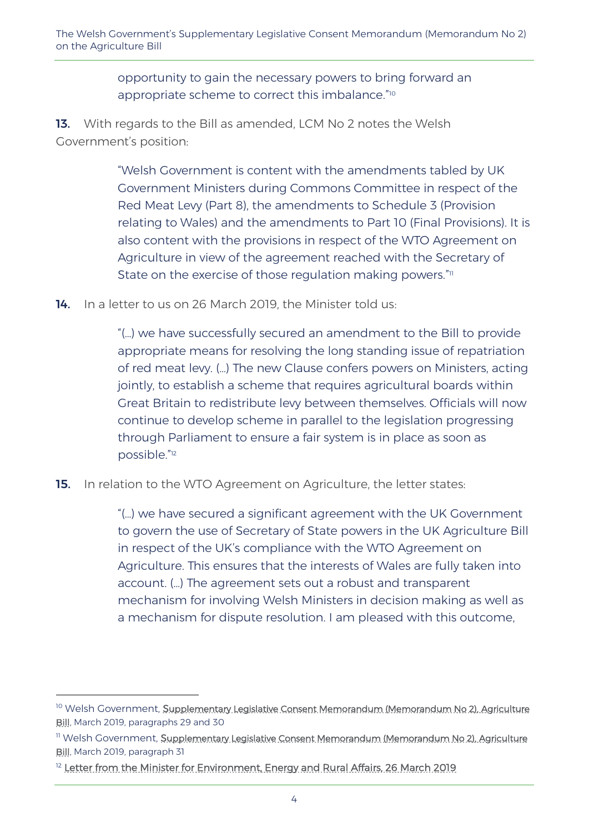opportunity to gain the necessary powers to bring forward an appropriate scheme to correct this imbalance."<sup>10</sup>

13. With regards to the Bill as amended, LCM No 2 notes the Welsh Government's position:

> "Welsh Government is content with the amendments tabled by UK Government Ministers during Commons Committee in respect of the Red Meat Levy (Part 8), the amendments to Schedule 3 (Provision relating to Wales) and the amendments to Part 10 (Final Provisions). It is also content with the provisions in respect of the WTO Agreement on Agriculture in view of the agreement reached with the Secretary of State on the exercise of those regulation making powers." $\scriptstyle\rm II$

14. In a letter to us on 26 March 2019, the Minister told us:

"(…) we have successfully secured an amendment to the Bill to provide appropriate means for resolving the long standing issue of repatriation of red meat levy. (…) The new Clause confers powers on Ministers, acting jointly, to establish a scheme that requires agricultural boards within Great Britain to redistribute levy between themselves. Officials will now continue to develop scheme in parallel to the legislation progressing through Parliament to ensure a fair system is in place as soon as possible." 12

**15.** In relation to the WTO Agreement on Agriculture, the letter states:

"(…) we have secured a significant agreement with the UK Government to govern the use of Secretary of State powers in the UK Agriculture Bill in respect of the UK's compliance with the WTO Agreement on Agriculture. This ensures that the interests of Wales are fully taken into account. (…) The agreement sets out a robust and transparent mechanism for involving Welsh Ministers in decision making as well as a mechanism for dispute resolution. I am pleased with this outcome,

<sup>&</sup>lt;sup>10</sup> Welsh Government, <u>Supplementary Legislative Consent Memorandum (Memorandum No 2), Agriculture</u> [Bill,](https://www.assembly.wales/laid%20documents/lcm-ld12461/lcm-ld12461-e.pdf) March 2019, paragraphs 29 and 30

<sup>&</sup>lt;sup>11</sup> Welsh Government, Supplementary Legislative Consent Memorandum (Memorandum No 2), Agriculture [Bill,](https://www.assembly.wales/laid%20documents/lcm-ld12461/lcm-ld12461-e.pdf) March 2019, paragraph 31

<sup>&</sup>lt;sup>12</sup> [Letter from the Minister for Environment, Energy and Rural Affairs, 26 March 2019](http://senedd.assembly.wales/documents/s86943/Letter%20from%20the%20Minister%20for%20Environment%20Energy%20and%20Rural%20Affairs%20-%2026%20March%202019.pdf)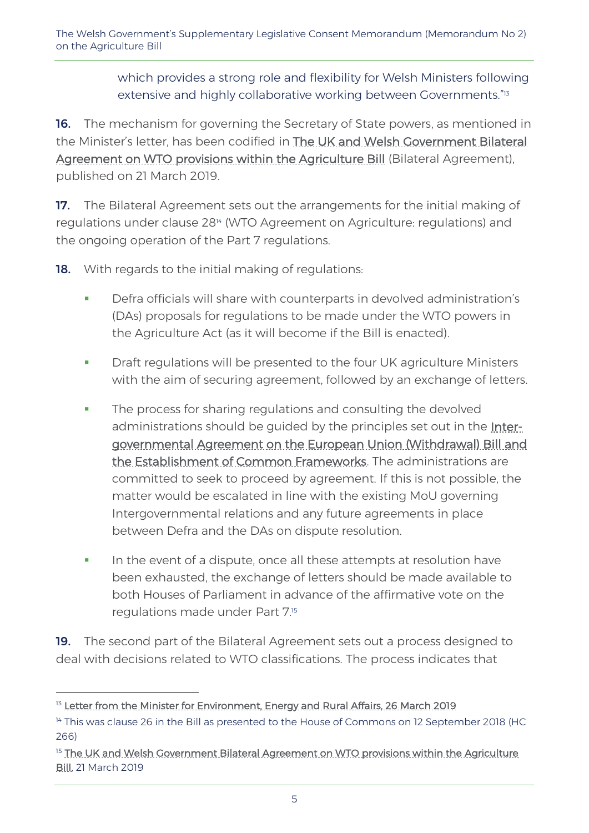which provides a strong role and flexibility for Welsh Ministers following extensive and highly collaborative working between Governments."<sup>13</sup>

**16.** The mechanism for governing the Secretary of State powers, as mentioned in the Minister's letter, has been codified in **The UK and Welsh Government Bilateral** [Agreement on WTO provisions within the Agriculture Bill](https://www.gov.uk/government/publications/agriculture-bill-progress-with-devolved-administrations/uk-and-welsh-government-bilateral-agreement-on-wto-provisions-within-the-agriculture-bill) (Bilateral Agreement), published on 21 March 2019.

17. The Bilateral Agreement sets out the arrangements for the initial making of regulations under clause 28<sup>14</sup> (WTO Agreement on Agriculture: regulations) and the ongoing operation of the Part 7 regulations.

**18.** With regards to the initial making of regulations:

- Defra officials will share with counterparts in devolved administration's (DAs) proposals for regulations to be made under the WTO powers in the Agriculture Act (as it will become if the Bill is enacted).
- **•** Draft regulations will be presented to the four UK agriculture Ministers with the aim of securing agreement, followed by an exchange of letters.
- **•** The process for sharing regulations and consulting the devolved administrations should be guided by the principles set out in the **Inter**[governmental Agreement on the European Union \(Withdrawal\) Bill and](https://www.gov.uk/government/publications/intergovernmental-agreement-on-the-european-union-withdrawal-bill)  [the Establishment of Common Frameworks.](https://www.gov.uk/government/publications/intergovernmental-agreement-on-the-european-union-withdrawal-bill) The administrations are committed to seek to proceed by agreement. If this is not possible, the matter would be escalated in line with the existing MoU governing Intergovernmental relations and any future agreements in place between Defra and the DAs on dispute resolution.
- **•** In the event of a dispute, once all these attempts at resolution have been exhausted, the exchange of letters should be made available to both Houses of Parliament in advance of the affirmative vote on the regulations made under Part 7.<sup>15</sup>

19. The second part of the Bilateral Agreement sets out a process designed to deal with decisions related to WTO classifications. The process indicates that

<sup>&</sup>lt;sup>13</sup> [Letter from the Minister for Environment, Energy and Rural Affairs, 26 March 2019](http://senedd.assembly.wales/documents/s86943/Letter%20from%20the%20Minister%20for%20Environment%20Energy%20and%20Rural%20Affairs%20-%2026%20March%202019.pdf)

<sup>&</sup>lt;sup>14</sup> This was clause 26 in the Bill as presented to the House of Commons on 12 September 2018 (HC 266)

<sup>&</sup>lt;sup>15</sup> The UK and Welsh Government Bilateral Agreement on WTO provisions within the Agriculture [Bill,](https://www.gov.uk/government/publications/agriculture-bill-progress-with-devolved-administrations/uk-and-welsh-government-bilateral-agreement-on-wto-provisions-within-the-agriculture-bill) 21 March 2019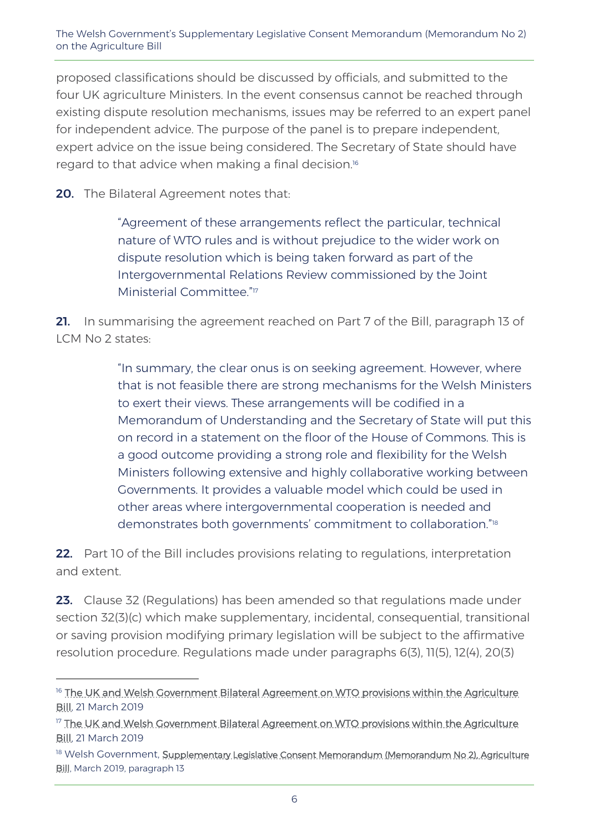proposed classifications should be discussed by officials, and submitted to the four UK agriculture Ministers. In the event consensus cannot be reached through existing dispute resolution mechanisms, issues may be referred to an expert panel for independent advice. The purpose of the panel is to prepare independent, expert advice on the issue being considered. The Secretary of State should have regard to that advice when making a final decision.<sup>16</sup>

**20.** The Bilateral Agreement notes that:

-

"Agreement of these arrangements reflect the particular, technical nature of WTO rules and is without prejudice to the wider work on dispute resolution which is being taken forward as part of the Intergovernmental Relations Review commissioned by the Joint Ministerial Committee." 17

21. In summarising the agreement reached on Part 7 of the Bill, paragraph 13 of LCM No 2 states:

> "In summary, the clear onus is on seeking agreement. However, where that is not feasible there are strong mechanisms for the Welsh Ministers to exert their views. These arrangements will be codified in a Memorandum of Understanding and the Secretary of State will put this on record in a statement on the floor of the House of Commons. This is a good outcome providing a strong role and flexibility for the Welsh Ministers following extensive and highly collaborative working between Governments. It provides a valuable model which could be used in other areas where intergovernmental cooperation is needed and demonstrates both governments' commitment to collaboration." 18

22. Part 10 of the Bill includes provisions relating to regulations, interpretation and extent.

23. Clause 32 (Regulations) has been amended so that regulations made under section 32(3)(c) which make supplementary, incidental, consequential, transitional or saving provision modifying primary legislation will be subject to the affirmative resolution procedure. Regulations made under paragraphs 6(3), 11(5), 12(4), 20(3)

<sup>&</sup>lt;sup>16</sup> The UK and Welsh Government Bilateral Agreement on WTO provisions within the Agriculture **Bill**, 21 March 2019

<sup>17</sup> [The UK and Welsh Government Bilateral Agreement on WTO provisions within the Agriculture](https://www.gov.uk/government/publications/agriculture-bill-progress-with-devolved-administrations/uk-and-welsh-government-bilateral-agreement-on-wto-provisions-within-the-agriculture-bill)  [Bill,](https://www.gov.uk/government/publications/agriculture-bill-progress-with-devolved-administrations/uk-and-welsh-government-bilateral-agreement-on-wto-provisions-within-the-agriculture-bill) 21 March 2019

<sup>&</sup>lt;sup>18</sup> Welsh Government, <u>Supplementary Legislative Consent Memorandum (Memorandum No 2), Agriculture</u> [Bill,](https://www.assembly.wales/laid%20documents/lcm-ld12461/lcm-ld12461-e.pdf) March 2019, paragraph 13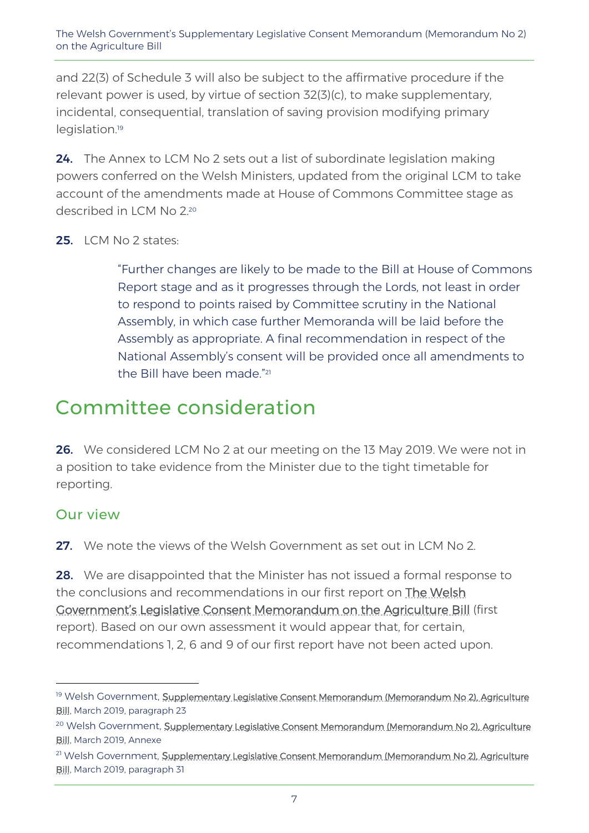and 22(3) of Schedule 3 will also be subject to the affirmative procedure if the relevant power is used, by virtue of section 32(3)(c), to make supplementary, incidental, consequential, translation of saving provision modifying primary legislation.<sup>19</sup>

24. The Annex to LCM No 2 sets out a list of subordinate legislation making powers conferred on the Welsh Ministers, updated from the original LCM to take account of the amendments made at House of Commons Committee stage as described in LCM No 2.20

25. LCM No 2 states:

"Further changes are likely to be made to the Bill at House of Commons Report stage and as it progresses through the Lords, not least in order to respond to points raised by Committee scrutiny in the National Assembly, in which case further Memoranda will be laid before the Assembly as appropriate. A final recommendation in respect of the National Assembly's consent will be provided once all amendments to the Bill have been made." 21

## Committee consideration

26. We considered LCM No 2 at our meeting on the 13 May 2019. We were not in a position to take evidence from the Minister due to the tight timetable for reporting.

### Our view

-

27. We note the views of the Welsh Government as set out in LCM No 2.

**28.** We are disappointed that the Minister has not issued a formal response to the conclusions and recommendations in our first report on [The Welsh](http://www.assembly.wales/laid%20documents/cr-ld12021/cr-ld12021-e.pdf)  [Government's Legislative Consent Memorandum on the](http://www.assembly.wales/laid%20documents/cr-ld12021/cr-ld12021-e.pdf) Agriculture Bill (first report). Based on our own assessment it would appear that, for certain, recommendations 1, 2, 6 and 9 of our first report have not been acted upon.

<sup>19</sup> Welsh Government, Supplementary Legislative Consent Memorandum (Memorandum No 2), Agriculture [Bill,](https://www.assembly.wales/laid%20documents/lcm-ld12461/lcm-ld12461-e.pdf) March 2019, paragraph 23

<sup>&</sup>lt;sup>20</sup> Welsh Government, Supplementary Legislative Consent Memorandum (Memorandum No 2), Agriculture [Bill,](https://www.assembly.wales/laid%20documents/lcm-ld12461/lcm-ld12461-e.pdf) March 2019, Annexe

<sup>&</sup>lt;sup>21</sup> Welsh Government, <u>Supplementary Legislative Consent Memorandum (Memorandum No 2), Agriculture</u> [Bill,](https://www.assembly.wales/laid%20documents/lcm-ld12461/lcm-ld12461-e.pdf) March 2019, paragraph 31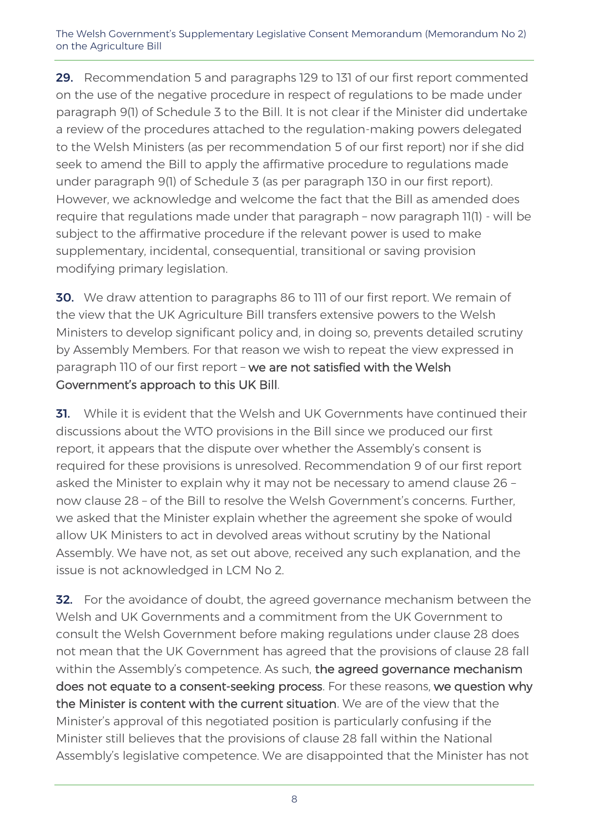The Welsh Government's Supplementary Legislative Consent Memorandum (Memorandum No 2) on the Agriculture Bill

29. Recommendation 5 and paragraphs 129 to 131 of our first report commented on the use of the negative procedure in respect of regulations to be made under paragraph 9(1) of Schedule 3 to the Bill. It is not clear if the Minister did undertake a review of the procedures attached to the regulation-making powers delegated to the Welsh Ministers (as per recommendation 5 of our first report) nor if she did seek to amend the Bill to apply the affirmative procedure to regulations made under paragraph 9(1) of Schedule 3 (as per paragraph 130 in our first report). However, we acknowledge and welcome the fact that the Bill as amended does require that regulations made under that paragraph – now paragraph 11(1) - will be subject to the affirmative procedure if the relevant power is used to make supplementary, incidental, consequential, transitional or saving provision modifying primary legislation.

**30.** We draw attention to paragraphs 86 to 111 of our first report. We remain of the view that the UK Agriculture Bill transfers extensive powers to the Welsh Ministers to develop significant policy and, in doing so, prevents detailed scrutiny by Assembly Members. For that reason we wish to repeat the view expressed in paragraph 110 of our first report – we are not satisfied with the Welsh Government's approach to this UK Bill.

**31.** While it is evident that the Welsh and UK Governments have continued their discussions about the WTO provisions in the Bill since we produced our first report, it appears that the dispute over whether the Assembly's consent is required for these provisions is unresolved. Recommendation 9 of our first report asked the Minister to explain why it may not be necessary to amend clause 26 – now clause 28 – of the Bill to resolve the Welsh Government's concerns. Further, we asked that the Minister explain whether the agreement she spoke of would allow UK Ministers to act in devolved areas without scrutiny by the National Assembly. We have not, as set out above, received any such explanation, and the issue is not acknowledged in LCM No 2.

**32.** For the avoidance of doubt, the agreed governance mechanism between the Welsh and UK Governments and a commitment from the UK Government to consult the Welsh Government before making regulations under clause 28 does not mean that the UK Government has agreed that the provisions of clause 28 fall within the Assembly's competence. As such, the agreed governance mechanism does not equate to a consent-seeking process. For these reasons, we question why the Minister is content with the current situation. We are of the view that the Minister's approval of this negotiated position is particularly confusing if the Minister still believes that the provisions of clause 28 fall within the National Assembly's legislative competence. We are disappointed that the Minister has not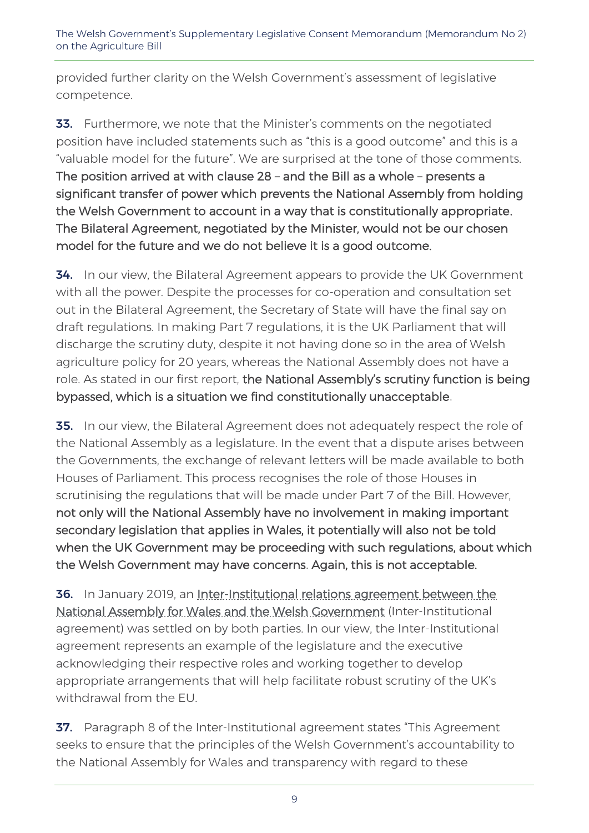provided further clarity on the Welsh Government's assessment of legislative competence.

33. Furthermore, we note that the Minister's comments on the negotiated position have included statements such as "this is a good outcome" and this is a "valuable model for the future". We are surprised at the tone of those comments. The position arrived at with clause 28 – and the Bill as a whole – presents a significant transfer of power which prevents the National Assembly from holding the Welsh Government to account in a way that is constitutionally appropriate. The Bilateral Agreement, negotiated by the Minister, would not be our chosen model for the future and we do not believe it is a good outcome.

**34.** In our view, the Bilateral Agreement appears to provide the UK Government with all the power. Despite the processes for co-operation and consultation set out in the Bilateral Agreement, the Secretary of State will have the final say on draft regulations. In making Part 7 regulations, it is the UK Parliament that will discharge the scrutiny duty, despite it not having done so in the area of Welsh agriculture policy for 20 years, whereas the National Assembly does not have a role. As stated in our first report, the National Assembly's scrutiny function is being bypassed, which is a situation we find constitutionally unacceptable.

**35.** In our view, the Bilateral Agreement does not adequately respect the role of the National Assembly as a legislature. In the event that a dispute arises between the Governments, the exchange of relevant letters will be made available to both Houses of Parliament. This process recognises the role of those Houses in scrutinising the regulations that will be made under Part 7 of the Bill. However, not only will the National Assembly have no involvement in making important secondary legislation that applies in Wales, it potentially will also not be told when the UK Government may be proceeding with such regulations, about which the Welsh Government may have concerns. Again, this is not acceptable.

36. In January 2019, an Inter-Institutional relations agreement between the [National Assembly for Wales and the Welsh Government](http://senedd.assembly.wales/documents/s85934/Inter-Institutional%20relations%20agreement%20between%20the%20National%20Assembly%20for%20Wales%20and%20the%20Welsh%20Govern.pdf) (Inter-Institutional agreement) was settled on by both parties. In our view, the Inter-Institutional agreement represents an example of the legislature and the executive acknowledging their respective roles and working together to develop appropriate arrangements that will help facilitate robust scrutiny of the UK's withdrawal from the EU.

**37.** Paragraph 8 of the Inter-Institutional agreement states "This Agreement seeks to ensure that the principles of the Welsh Government's accountability to the National Assembly for Wales and transparency with regard to these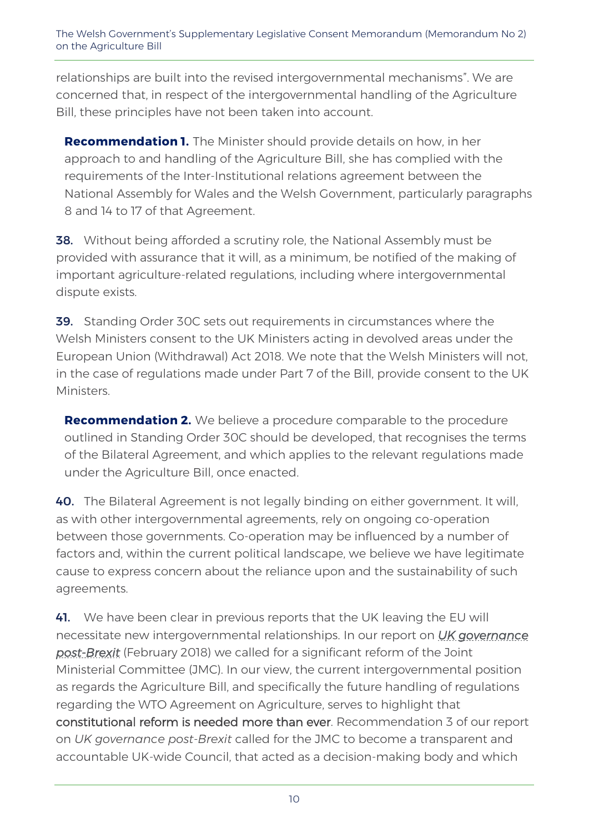relationships are built into the revised intergovernmental mechanisms". We are concerned that, in respect of the intergovernmental handling of the Agriculture Bill, these principles have not been taken into account.

**Recommendation 1.** The Minister should provide details on how, in her approach to and handling of the Agriculture Bill, she has complied with the requirements of the Inter-Institutional relations agreement between the National Assembly for Wales and the Welsh Government, particularly paragraphs 8 and 14 to 17 of that Agreement.

**38.** Without being afforded a scrutiny role, the National Assembly must be provided with assurance that it will, as a minimum, be notified of the making of important agriculture-related regulations, including where intergovernmental dispute exists.

39. Standing Order 30C sets out requirements in circumstances where the Welsh Ministers consent to the UK Ministers acting in devolved areas under the European Union (Withdrawal) Act 2018. We note that the Welsh Ministers will not, in the case of regulations made under Part 7 of the Bill, provide consent to the UK Ministers.

**Recommendation 2.** We believe a procedure comparable to the procedure outlined in Standing Order 30C should be developed, that recognises the terms of the Bilateral Agreement, and which applies to the relevant regulations made under the Agriculture Bill, once enacted.

40. The Bilateral Agreement is not legally binding on either government. It will, as with other intergovernmental agreements, rely on ongoing co-operation between those governments. Co-operation may be influenced by a number of factors and, within the current political landscape, we believe we have legitimate cause to express concern about the reliance upon and the sustainability of such agreements.

41. We have been clear in previous reports that the UK leaving the EU will necessitate new intergovernmental relationships. In our report on *[UK governance](http://www.assembly.wales/laid%20documents/cr-ld11405/cr-ld11405-e.pdf)  [post-Brexit](http://www.assembly.wales/laid%20documents/cr-ld11405/cr-ld11405-e.pdf)* (February 2018) we called for a significant reform of the Joint Ministerial Committee (JMC). In our view, the current intergovernmental position as regards the Agriculture Bill, and specifically the future handling of regulations regarding the WTO Agreement on Agriculture, serves to highlight that constitutional reform is needed more than ever. Recommendation 3 of our report on *UK governance post-Brexit* called for the JMC to become a transparent and accountable UK-wide Council, that acted as a decision-making body and which